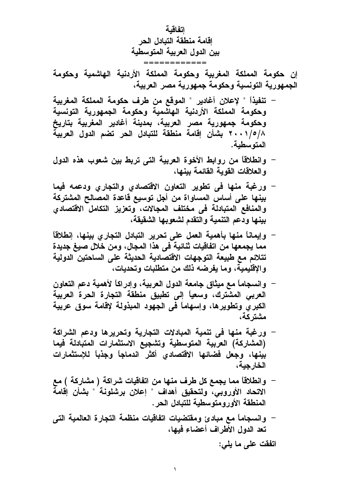اتفاقية اقامة منطقة التبادل الحر بين الدول العربية المتوسطية

إن حكومة المملكة المغربية وحكومة المملكة الأردنية الهاشمية وحكومة الجمهورية التونسية وحكومة جمهورية مصر العربية،

- تنفيذاً " لإعلان أغادير " الموقع من طرف حكومة المملكة المغربية وحكومة المملكة الأردنية الهاشمية وحكومة الجمهورية التونسية وحكومة جمهورية مصر العربية، بمدينة أغادير المغربية بتاريخ ٢٠٠١/٥/٨ بشأن إقامة منطقة للتبادل الحر تضم الدول العربية المتوسطية.
- وانطلاقاً من روابط الأخوة العربية التي تربط بين شعوب هذه الدول و العلاقات القوبة القائمة ببنها،
- ورغبة منها في تطوير التعاون الاقتصادي والتجاري ودعمه فيما بينها على أساس المساواة من أجل توسيع قاعدة المصالح المشتركة والمنافع المتبادلة في مختلف المجالات، وتعزيز التكامل الاقتصادى بينها ودعم التنمية والتقدم لشعوبها الشقيقة،
- وإيماناً منها بأهمية العمل على تحرير التبادل التجارى بينها، إنطلاقاً  $\overline{\phantom{0}}$ مما يجمعها من اتفاقيات تْنائية في هذا المجال، ومن خلال صيغ جديدة تتلائم مع طبيعة التوجهات الاقتصادية الحديثة على الساحتين الدولية والإقليمية، وما يفرضه ذلك من متطلبات وتحديات،
- وانسجاماً مع ميثاق جامعة الدول العربية، وإدراكاً لأهمية دعم التعاون العربي المشترك، وسعياً إلى تطبيق منطقة التجارة الحرة العربية الكبر ي وتطوير ها، وإسهاماً في الجهود المبذولة لإقامة سوق عربية مشتر کة،
- ورغبة منها في تنمية المبادلات التجارية وتحريرها ودعم الشراكة (المشاركة) العربية المتوسطية وتشجيع الاستثمارات المتبادلة فيما بينها، وجعل فضائها الاقتصادي أكثر اندماجاً وجذباً للإستثمارات الخار جبة،
- وانطلاقاً مما يجمع كل طرف منها من اتفاقيات شراكة ( مشاركة ) مع الاتحاد الأوروبي، ولتحقيق أهداف " إعلان برشلونة " بشأن إقامة المنطقة الأورومتوسطية للتبادل الحر .
- وانسجاماً مع مبادئ ومقتضيات اتفاقيات منظمة التجارة العالمية التي تعد الدول الأطراف أعضاء فيها،

اتفقت على ما يلي: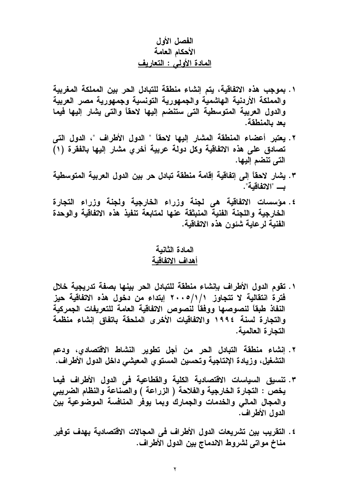# الفصل الأول الأحكام العامة المعادة الأولى : التعاريف

- ١. بموجب هذه الاتفاقية، يتم إنشاء منطقة للتبادل الحر بين المملكة المغربية والمملكة الأردنية الهاشمية والجمهورية التونسية وجمهورية مصر العربية والدول العربية المتوسطية التى ستنضم إليها لاحقاً والتى يشار إليها فيما بعد بالمنطقة.
- ٢. يعتبر أعضاء المنطقة المشار إليها لاحقاً " الدول الأطراف "، الدول التي تصادق على هذه الاتفاقية وكل دولة عربية أخرىٍ مشار إليها بالفقرة (١) التي تنضم إليها.
- ٣. يشار لاحقاً إلى إتفاقية إقامة منطقة تبادل حر بين الدول العربية المتوسطية ب "الاتفاقبة".
- ٤. مؤسسات الاتفاقية هى لجنة وزراء الخارجية ولجنة وزراء التجارة الخارجية واللجنة الفنية المنبثقة عنها لمتابعة تنفيذ هذه الاتفاقية والوحدة الفنية لرعاية شئون هذه الاتفاقية.

# المادة الثانبة أهداف الاتفاقبة

- ١. تقوم الدول الأطراف بإنشاء منطقة للتبادل الحر بينها بصفة تدريجية خلال فَترة انتقالية لا تتجاوز 1/1/1 ٢٠٠٥ ابتداء من دخول هذه الاتفاقية حيز النفاذ طبقاً لنصوصها ووفقاً لنصوص الاتفاقية العامة للتعريفات الجمركية والتجارة لسنة ١٩٩٤ والاتفاقيات الأخرى الملحقة باتفاق إنشاء منظمة التجارة العالمية.
- ٢. إنشاء منطقة التبادل الحر من أجل تطوير النشاط الاقتصادي، ودعم التشغيل، وزيادة الإنتاجية وتحسين المستوي المعيشي داخل الدول الأطراف.
- ٣. تنسبق السياسات الاقتصادية الكلية والقطاعية في الدول الأطراف فيما يخص : التجارة الخارجية والفلاحة ( الزراعة ) والصناعة والنظام الضريبي والمجال المالى والخدمات والجمارك وبما يوفر المنافسة الموضوعية بين الدول الأطراف.
- ٤. التقريب بين تشريعات الدول الأطراف فى المجالات الاقتصادية بهدف توفير مناخ مواتي لشروط الاندماج بين الدول الأطراف.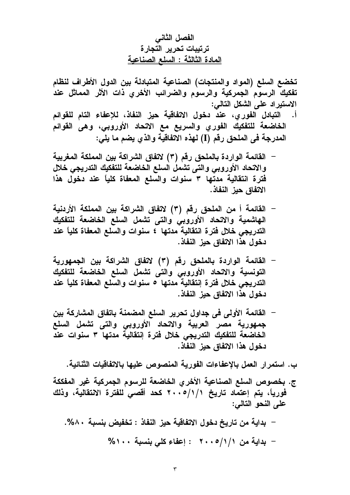الفصل الثاني ترتيبات تحرير التجارة المادة الثالثة : السلع الصناعية

تخضع السلع (المواد والمنتجات) الصناعية المتبادلة بين الدول الأطراف لنظام تفكيك الرسوم الجمركية والرسوم والضرائب الأخرى ذات الأثر المماثل عند الاستيراد على الشكل التالي:

- التبادل الفورى، عند دخول الاتفاقية حيز النفاذ، للإعفاء التام للقوائم  $\cdot$ الخاضعة للتفكيك الفوري والسريع مع الاتحاد الأوروبي، وهى القوائم المدرجة في الملحق رقم (I) لهذه الاتفاقية والذي يضم ما يلي:
- القائمة الواردة بالملحق رقم (٣) لاتفاق الشراكة بين المملكة المغربية والاتحاد الأوروبي والتى تشمل السلع الخاضعة للتفكيك التدريجي خلال فترة انتقالية مدتها ٣ سنوات والسلع المعفاة كلياً عند دخول هذا الاتفاق حبز النفاذ.
- القائمة أ من الملحق رقم (٣) لاتفاق الشراكة بين المملكة الأردنية  $\overline{\phantom{0}}$ الهاشمية والاتحاد الأوروبى والتى تشمل السلع الخاضعة للتفكيك التدريجي خلال فترة انتقالية مدتها ٤ سنوات والسلع المعفاة كلياً عند دخول هذا الاتفاق حيز النفاذ.
- القائمة الواردة بالملحق رقم (٣) لاتفاق الشراكة بين الجمهورية  $\overline{\phantom{0}}$ التونسية والاتحاد الأوروبي والتى تشمل السلع الخاضعة للتفكيك التدريجي خلال فترة إنتقالية مدتها ٥ سنوات والسلع المعفاة كلياً عند دخول هذا الاتفاق حيز النفاذ.
- القائمة الأولى في جداول تحرير السلع المضمنة باتفاق المشاركة بين جمهورية مصر العربية والاتحاد الأوروبي والتى تشمل السلع الخاضعة للتفكيك التدريجي خلال فترة إنتقالية مدتها ٣ سنوات عند دخول هذا الاتفاق حيز النفاذ.

ب. استمر إر العمل بالاعفاءات الفورية المنصوص عليها بالاتفاقيات الثنائية.

- ج. بخصوص السلع الصناعية الأخرى الخاضعة للرسوم الجمركية غير المفككة فورياً، يتم إعتماد تاريخ ٢٠٠٥/١/١ مت كحد أقصى للفترة الانتقالية، وذلك على النحو التالي:
	- بداية من تاريخ دخول الاتفاقية حيز النفاذ : تخفيض بنسبة ٨٠%. - بداية من ١/١/٥- ٢٠٠ : إعفاء كلى بنسبة ١٠٠%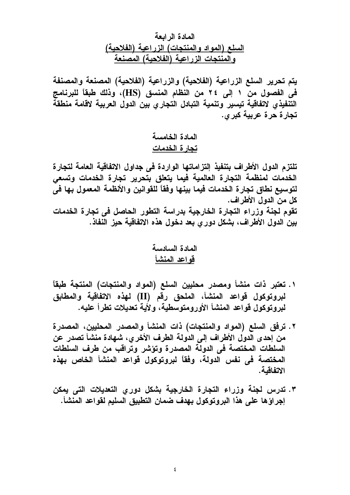المادة الر ابعة <u>السلع (المواد والمنتجات) الزراعية (الفلاحية)</u> <u>والمنتجات الزراعية (الفلاحية) المصنعة</u>

يتم تحرير السلع الزراعية (الفلاحية) والزراعية (الفلاحية) المصنعة والمصنفة في الفصول من ١ إلى ٢٤ من النظام المنسق (HS)، وذلك طبقاً للبرنامج التنفيذي لاتفاقية تيسير وتنمية التبادل التجاري بين الدول العربية لاقامة منطقة تجارة حرة عربية كبرى.

> المادة الخامسة تجارة الخدمات

تلتزم الدول الأطراف بتنفيذ إلتزاماتها الواردة فى جداول الاتفاقية العامة لتجارة الخدمات لمنظمة التجارة العالمية فيما يتعلق بتحرير تجارة الخدمات وتسعى لتوسيع نطاق تجارة الخدمات فيما بينها وفقاً للقوانين والأنظمة المعمول بها في كل من الدول الأطراف. تقوم لجنة وزراء التجارة الخارجية بدراسة التطور الحاصل في تجارة الخدمات بين الدول الأطراف، بشكل دور ي بعد دخول هذه الاتفاقية حيز النفاذ.

- ١. تعتبر ذات منشأ ومصدر محليين السلع (المواد والمنتجات) المنتجة طبقاً لبروتوكول قواعد المنشأ، الملحق رقم (II) لهذه الاتفاقية والمطابق لبروتوكول قواعد المنشأ الأورومتوسطية، ولأية تعديلات تطرأ عليه.
- ٢. ترفق السلع (المواد والمنتجات) ذات المنشأ والمصدر المحليين، المصدرة من إحدى الدول الأطراف إلى الدولة الطرف الأخر ي، شهادة منشأ تصدر عن السلطات المختصة في الدولة المصدرة وتؤشر وتراقب من طرف السلطات المختصة فى نفس الدولة، وفقاً لبروتوكول قواعد المنشأ الخاص بهذه الاتفاقية.
- ٣. تدرس لجنة وزراء التجارة الخارجية بشكل دوري التعديلات التي يمكن إجر اؤها على هذا البروتوكول بهدف ضمان التطبيق السليم لقواعد المنشأ.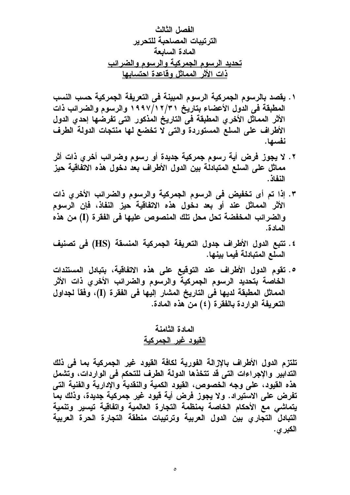- ١. يقصد بالرسوم الجمركية الرسوم المبينة في التعريفة الجمركية حسب النسب المطبقة في الدول الأعضاء بتاريخ ٢/٢ ١/١٩٧ والرسوم والضرائب ذات الأثر المماثل الأخرى المطبقة في التاريخ المذكور التي تفرضها إحدى الدول الأطراف على السلع المستوردة والتي لا تخضع لها منتجات الدولة الطرف نفسها.
- ٢. لا يجوز فرض أية رسوم جمركية جديدة أو رسوم وضرائب أخرى ذات أثر مماثل على السلع المتبادلة بين الدول الأطراف بعد دخول هذه الاتفاقية حيز النفاذ.
- ٣. إذا تم أى تخفيض فى الرسوم الجمركية والرسوم والضرائب الأخري ذات الأثر المماثل عند أو بعد دخول هذه الاتفاقية حيز النفاذ، فإن الرسوم والضرائب المخفضة تحل محل تلك المنصوص عليها في الفقرة (I) من هذه المادة.
- ٤. تتبع الدول الأطراف جدول التعريفة الجمركية المنسقة (HS) في تصنيف السلع المتبادلة فيما بينها.
- ه. تقوم الدول الأطراف عند التوقيع على هذه الاتفاقية، بتبادل المستندات الخاصة بتحديد الرسوم الجمركية والرسوم والضرائب الأخري ذات الأثر المماثل المطبقة لديها في التاريخ المشار اليها في الفقرة (I)، وفقاً لجداول التعريفة الواردة بالفقرة (٤) من هذه المادة.

# المادة الثامنة القبود غبر الجمركبة

تلتزم الدول الأطراف بالازالة الفورية لكافة القيود غير الجمركية بما في ذلك التدابير والإجراءات التى قد تتخذها الدولة الطرف للتحكم فى الواردات، وتشمل هذه القيود، على وجه الخصوص، القيود الكمية والنقدية والإدارية والفنية التي تفرض على الاستيراد. ولا يجوز فرض أية قيود غير جمركية جديدة، وذلك بما يتماشى مع الأحكام الخاصة بمنظمة التجارة العالمية واتفاقية تيسير وتنمية التبادل التجارى بين الدول العربية وترتيبات منطقة التجارة الحرة العربية الكبر ي.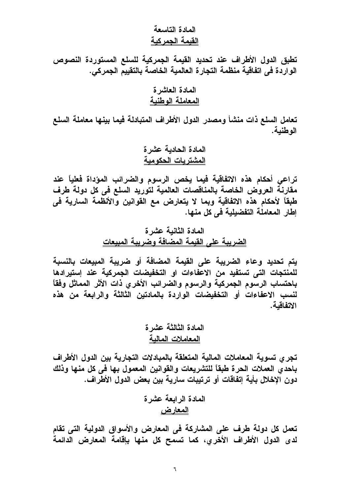### المادة التاسعة القيمة الحمر كية

تطبق الدول الأطراف عند تحديد القيمة الجمركية للسلع المستوردة النصوص الواردة في اتفاقية منظمة التجارة العالمية الخاصة بالتقييم الجمركي.

تعامل السلع ذات منشأ ومصدر الدول الأطراف المتبادلة فيما بينها معاملة السلع الوطنية.

تراعى أحكام هذه الاتفاقية فيما يخص الرسوم والضرائب المؤداة فعلياً عند مقارنـة العروض الخاصـة بالمناقصات العالمية لتوريد السلع فى كل دولـة طرف طبقاً لأحكام هذه الاتفاقية وبما لا يتعارض مع القوانين والأنظمة السارية في إطار المعاملة التفضيلية في كل منها.

# المادة الثانية عشرة الضريبة على القيمة المضافة وضريبة المبيعات

يتم تحديد وعاء الضريبة على القيمة المضافة أو ضريبة المبيعات بالنسبة للمنتجات التي تستفيد من الاعفاءات او التخفيضات الجمركية عند إستيرادها باحتساب الرسوم الجمركية والرسوم والضرائب الأخرى ذات الأثر المماثل وفقاً لنسب الاعفاءات أو التخفيضات الواردة بالمادتين الثالثة والرابعة من هذه الاتفاقية.

# المادة الثالثة عشرة المعاملات المالبة

تجرى تسوية المعاملات المالية المتعلقة بالمبادلات التجارية بين الدول الأطراف باحدى العملات الحرة طبقاً للتشريعات والقوانين المعمول بها في كل منها وذلك دون الإخلال بأية اتفاقات أو ترتيبات سارية بين بعض الدول الأطراف.

تعمل كل دولة طرف على المشاركة في المعارض والأسواق الدولية التي تقام لدى الدول الأطراف الأخرى، كما تسمح كل منها بإقامة المعارض الدائمة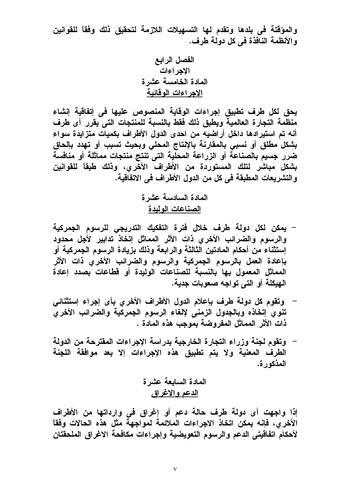والمؤقتة في بلدها وتقدم لها التسهيلات اللازمة لتحقيق ذلك وفقاً للقوانين والأنظمة النافذة في كل دولة طرف.

يحق لكل طرف تطبيق إجراءات الوقاية المنصوص عليها في إتفاقية إنشاء منظمة التجارة العالمية ويطبق ذلك فقط بالنسبة للمنتجات التى يقرر أى طرف أنه تم استيرادها داخل أراضيه من احدى الدول الأطراف بكميات متزايدة سواء بشكل مطلق أو نسبي بالمقارنة بالإنتاج المحلي وبحيث تسبب أو تهدد بإلحاق ضرر جسيم بالصناعة أو الزراعة المحلية التي تنتج منتجات مماثلة أو منافسة بشكل مباشر لتلك المستوردة من الأطراف الأخرى، وذلك طبقاً للقوانين والتشريعات المطبقة في كل من الدول الأطراف في الاتفاقية.

> المادة السادسة عشرة الصناعات الولبدة

- يمكن لكل دولة طرف خلال فترة التفكيك التدريجي للرسوم الجمركية والرسوم والضرائب الأخرى ذات الأثر المماثل إتخاذ تدابير لأجل محدود إستثناء من أحكام المادتين الثالثة والرابعة وذلك بزيادة الرسوم الجمركية أو بإعادة العمل بالرسوم الجمركية والرسوم والضرائب الأخرى ذات الأثر المماثل المعمول بها بالنسبة للصناعات الوليدة أو قطاعات بصدد إعادة الـهيكلة أو التـى تواجـه صعوبات جديـة.
- وتقوم كل دولة طرف بإعلام الدول الأطراف الأخرى بأى إجراء إستثنائي تنوي إتخاذه وبالجدول الزمنى لإلغاء الرسوم الجمركية والضرائب الأخرى ذات الأثر المماثل المفروضة بموجب هذه المادة .
- وتقوم لجنة وزراء التجارة الخارجية بدراسة الإجراءات المقترحة من الدولة الطرف المعنية ولا يتم تطبيق هذه الإجراءات إلا بعد موافقة اللجنة المذكور ة.

المادة السابعة عشرة <u>الدعم و الاغر اق</u>

إذا واجهت أى دولة طرف حالة دعم أو إغراق فى وارداتها من الأطراف الأخرى، فإنه يمكن اتخاذ الاجراءات الملائمة لمواجهة مثل هذه الحالات وفقاً لأحكام اتفاقيتي الدعم والرسوم التعويضية وإجراءات مكافحة الاغراق الملحقتان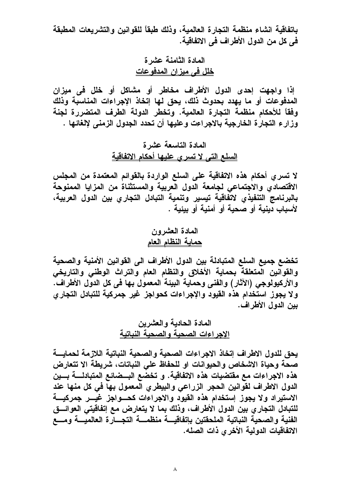باتفاقية انشاء منظمة التجارة العالمية، وذلك طبقاً للقوانين والتشريعات المطبقة في كل من الدول الأطراف في الاتفاقية.

> المادة الثامنة عشرة خلل في ميزان المدفوعات

إذا واجهت إحدى الدول الأطراف مخاطر أو مشاكل أو خلل في ميزان المدفوعات أو ما يهدد بحدوث ذلك، يحق لها إتخاذ الإجراءات المناسبة وذلك وفقاً للأحكام منظمة التجارة العالمية. وتخطر الدولة الطرف المتضررة لجنة وزارع التجارة الخارجية بالاجراءت وعليها أن تحدد الجدول الزمني لإلغائها .

# المادة التاسعة عشرة <u>السلع التي لا تسرى عليها أحكام الاتفاقية</u>

لا تسرى أحكام هذه الاتفاقية على السلع الواردة بالقوائم المعتمدة من المجلس الاقتصادي والاجتماعي لجامعة الدول العربية والمستثناة من المزايا الممنوحة بالبرنامج التنفيذي لاتفاقية تيسير وتنمية التبادل التجاري بين الدول العربية، لأسباب دبنية أو صحبة أو أمنية أو ببئية .

### المعادة المعثيرون حماية النظام العام

تخضع جميع السلع المتبادلة بين الدول الأطراف الى القوانين الأمنية والصحية والقوانين المتعلقة بحماية الأخلاق والنظام العام والتراث الوطنى والتاريخي والأركيولوجي (الآثار) والفني وحماية البيئة المعمول بها في كل الدول الأطراف. ولا يجوز استخدام هذه القيود والإجراءات كحواجز غير جمركية للتبادل التجاري بين الدول الأطراف.

# المعادة الحادية والعشرين الإحر اءات الصحبة والصحبة النباتية

يحق للدول الاطراف إتخاذ الاجراءات الصحية والصحية النباتية اللازمة لحمايسة صحة وحياة الاشخاص والحيوانات او للحفاظ على النباتات، شريطة الا تتعارض هذه الاجراءات مع مقتضيات هذه الاتفاقية. و تخضع البــضائـع المتبادلــــة بــــين الدول الاطراف لقوانين الحجر الزراعي والبيطري المعمول بهاً في كل منها عند الاستيراد ولا يجوز إستخدام هذه القيود والاجراءات كحسواجز غيس جمركيسة للتبادل التجار ي بين الدول الأطراف، وذلك بما لا يتعارض مع إتفاقيتي العوائسق الفنية والصحية النباتية الملحقتين بإتفاقيسة منظمسة التجسارة العالميسة ومسع الاتفاقيات الدولية الأخر ي ذات الصله.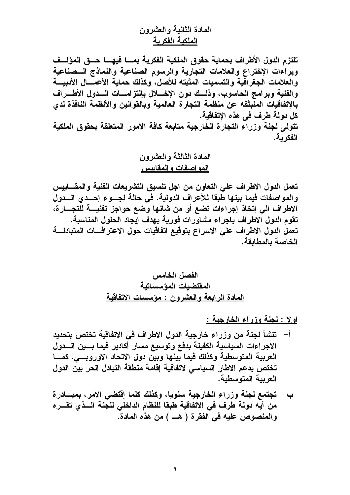# المادة الثانبة والعشرون الملكبة الفكر بة

تلتزم الدول الأطراف بحماية حقوق الملكية الفكرية بمسا فيهسا حسق المؤلسف وبراءات الإختراع والعلامات التجارية والرسوم الصناعية والنماذج السصناعية والعلامات الجغرافية والتسميات المثبته للأصل، وكذلك حماية الأعمـــال الأدبيــــة والفنية وبرامج الحاسوب، وذلـــك دون الإخــــلل بإلتزامــــات الـــدول الأطــــراف بالإتفاقيات المنبثقه عن منظمة التجارة العالمية وبالقوانين والأنظمة النافذة لدى كل دولة طرف في هذه الإتفاقية. تتولى لجنة وزراء التجارة الخارجية متابعة كافة الامور المتعلقة بحقوق الملكية الفكر بـة.

تعمل الدول الاطراف على التعاون من اجل تنسيق التشريعات الفنية والمقساييس والمواصفات فيما بينها طبقا للأعراف الدولية. في حالة لجـــوع إحـــدى الــــدول الاطراف الي إتخاذ إجراءات تضع أو من شانها وضع حواجز تقنيسة للتجسارة، تقوم الدول الاطراف باجراء مشاورات فورية بهدف إيجاد الحلول المناسبة. تعمل الدول الاطراف على الاسراع بتوقيع اتفاقيات حول الاعترافسات المتبادلسة الخاصة بالمطابقة.

اولا : لجنة وزراء الخارجية :

- أ– تنشأ لجنة من وزراء خارجية الدول الاطراف في الاتفاقية تختص بتحديد الاجراءات السياسية الكفيلة بدفع وتوسيع مسار أكادير فيما بسين السدول العربية المتوسطية وكذلك فيما بينها وبين دول الاتحاد الاوروبسي. كمسا تختص بدعم الاطار السياسي لاتفاقية إقامة منطقة التبادل الحر بين الدول العريبة المتوسطية.
- ب— تجتمع لجنة وزراء الخارجية سنويا، وكذلك كلما إفتضى الامر، بمبـــادرة من أيه دولة طرف في الاتفاقية طبقا للنظام الداخلي للجنة السذي تقسره والمنصوص عليه في الفقرة ( هـــ ) من هذه المادة.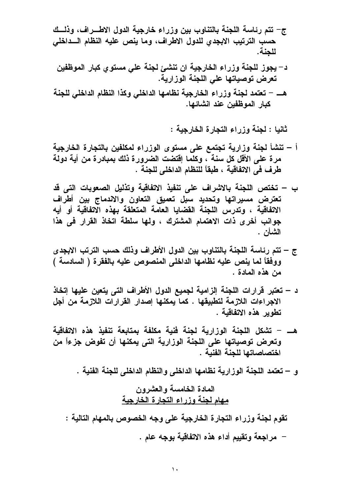- ج– تتم رئاسة اللجنة بالتناوب بين وزراء خارجية الدول الاطــراف، وذلــك حسب الترتيب الابجدى للدول الاطراف، وما ينص عليه النظام السداخلي للحنة.
	- د– يجوز للجنة وزراء الخارجية ان تنشئ لجنة على مستوى كبار الموظفين تعرض توصياتها على اللجنة الوزارية.
- هـــ تعتمد لجنة وزراء الخارجية نظامها الداخلي وكذا النظام الداخلي للجنة كبار الموظفين عند انشائها.

ثانيا : لجنة وزراء التجارة الخارجية :

- أ تنشأ لجنة وزارية تجتمع على مستوى الوزراء لمكلفين بالتجارة الخارجية مرة على الأقل كل سنة ، وكلما إقتضت الضرورة ذلك بمبادرة من أية دولة طرف في الاتفاقية ، طبقاً للنظام الداخلي للجنة .
- ب تختص اللجنة بالاشراف على تنفيذ الاتفاقية وتذليل الصعوبات التي قد تعترض مسيراتها وتحديد سبل تعميق التعاون والاندماج بين أطراف الاتفاقية ، وتدرس اللجنة القضابا العامة المتعلقة بهذه الاتفاقية أو أبه جوانب أخرى ذات الاهتمام المشترك ، ولها سلطة اتخاذ القرار في هذا الشأن .
- ج تتم رئاسة اللجنة بالتناوب بين الدول الأطراف وذلك حسب الترتب الابجدي ووفقاً لما ينص عليه نظامها الداخلي المنصوص عليه بالفقرة ( السادسة ) من هذه المادة .
- د تعتبر قرارات اللجنة الزامية لجميع الدول الأطراف التي يتعين عليها اِتخاذ الاجراءات اللازمة لتطبيقها . كما يمكنها إصدار القرارات اللازمة من أجل تطوير هذه الاتفاقية .
- هــــ تشكل اللجنة الوزارية لجنة فنية مكلفة بمتابعة تنفيذ هذه الاتفاقية وتعرض توصياتها على اللجنة الوزارية التي يمكنها أن تفوض جزءاً من اختصاصاتها للجنة الفنية .

و – تعتمد اللجنة الوزارية نظامها الداخلي والنظام الداخلي للجنة الفنية .

تقوم لجنة وزراء التجارة الخارجية على وجه الخصوص بالمهام التالية : – مراجعة وتقييم أداء هذه الاتفاقية بوجه عام .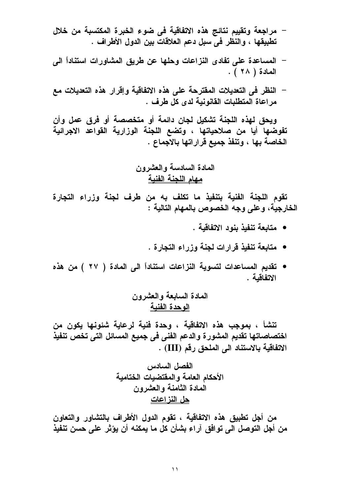- مراجعة وتقييم نتائج هذه الاتفاقية في ضوء الخبرة المكتسبة من خلال تطبيقها ، والنظر في سبل دعم العلاقات بين الدول الأطراف .
- المساعدة على تفادى النزاعات وحلها عن طريق المشاورات استناداً الى المعادة ( ٢٨ ).
- النظر في التعديلات المقترحة على هذه الاتفاقية وإقرار هذه التعديلات مع مراعاة المتطلبات القانونية لدى كل طرف .

ويحق لهذه اللجنة تشكيل لجان دائمة أو متخصصة أو فرق عمل وأن تفوضها أيا من صلاحياتها ، وتضع اللجنة الوزارية القواعد الاجرائية الخاصة بها ، وتنفذ جميع قراراتها بالاجماع .

تقوم اللجنة الفنية بتنفيذ ما تكلف به من طرف لجنة وزراء التجارة الخارجية، وعلى وجه الخصوص بالمهام التالية :

- متابعة تنفيذ بنود الاتفاقية .
- متابعة تنفيذ قرارات لجنة وزراء التجارة .
- تقديم المساعدات لتسوية النزاعات استناداً الى المادة ( ٢٧ ) من هذه الاتفاقية .

المعادة السبابعة والعشرون الوحدة الفنبة

تنشأ ، بموجب هذه الاتفاقية ، وحدة فنية لرعاية شئونها يكون من اختصاصاتها تقديم المشورة والدعم الفني في جميع المسائل التي تخص تنفيذ الاتفاقية بالاستناد الى الملحق رقم (III) .

من أجل تطبيق هذه الاتفاقية ، تقوم الدول الأطراف بالتشاور والتعاون من أجل التوصل الى توافق آراء بشأن كل ما يمكنه أن يؤثر على حسن تنفيذ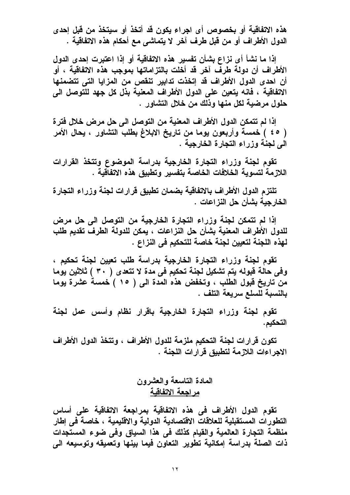هذه الاتفاقية أو بخصوص أي اجراء يكون قد أتخذ أو سبتخذ من قبل إحدى الدول الأطراف أو من قبل طرف آخر لا يتماشى مع أحكام هذه الاتفاقية .

إذا ما نشأ أي نزاع بشأن تفسير هذه الاتفاقية أو إذا اعتبرت إحدى الدول الأطراف أن دولة طرف آخر قد أخلت بالتزاماتها بموجب هذه الاتفاقية ، أو أن احدى الدول الأطراف قد إتخذت تدابير تنقص من المزايا التي تتضمنها الاتفاقية ، فانه يتعين على الدول الأطراف المعنية بذل كل جهد للتوصل الى حلول مرضية لكل منها وذلك من خلال التشاور .

إذا لم تتمكن الدول الأطراف المعنية من التوصل الى حل مرض خلال فتر ة ( ٤٥ ) خمسة وأربعون يوما من تاريخ الابلاغ بطلب التشاور ، يحال الأمر الى لجنة وزراء التجارة الخارجية .

تقوم لجنة وزراء التجارة الخارجية بدراسة الموضوع وتتخذ القرارات اللازمة لتسوية الخلافات الخاصة بتفسير وتطبيق هذه الاتفاقية .

تلتزم الدول الأطراف بالاتفاقية بضمان تطبيق قرارات لجنة وزراء التجارة الخار جبة بشأن حل النز اعات .

إذا لم تتمكن لجنة وزراء التجارة الخارجية من التوصل الى حل مرض للدول الأطراف المعنية بشأن حل النزاعات ، يمكن للدولة الطرف تقديم طلب لهذه اللجنة لتعيين لجنة خاصة للتحكيم في النزاع .

تقوم لجنة وزراء التجارة الخارجية بدراسة طلب تعيين لجنة تحكيم ، وفي حالة قبوله يتم تشكيل لجنة تحكيم في مدة لا تتعدى ( ٣٠ ) ثلاثين يوما من تاريخ قبول الطلب ، وتخفض هذه المدة الى ( ١٥ ) خمسة عشرة يوما بالنسبة للسلع سريعة التلف .

تقوم لجنة وزراء التجارة الخارجية باقرار نظام وأسس عمل لجنة التحكيم.

تكون قرارات لجنة التحكيم ملزمة للدول الأطراف ، وتتخذ الدول الأطراف الاجراءات اللازمة لتطبيق قرارات اللجنة .

> المادة التاسعة والعشرون مر اجعة الاتفاقية

تقوم الدول الأطراف في هذه الاتفاقية بمراجعة الاتفاقية على أساس التطورات المستقبلية للعلاقات الاقتصادية الدولية والاقليمية ، خاصة في إطار منظمة التجارة العالمية والقيام كذلك فى هذا السياق وفى ضوع المستجدات ذات الصلة بدراسة إمكانية تطوير التعاون فيما بينها وتعميقه وتوسيعه الى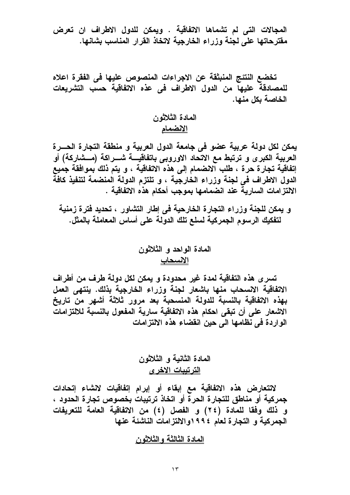المجالات التي لم تشماها الاتفاقية . ويمكن للدول الاطراف ان تعرض مقترحاتها على لجنة وزراء الخارجية لاتخاذ القرار المناسب بشانها.

تخضع النتئج المنبثقة عن الاجراءات المنصوص عليها في الفقرة اعلاه للمصادقة عليها من الدول الاطراف فى عذه الاتفاقية حسب التشريعات الخاصة بكل منها.

> المادة الثلاثون <u>الانضمام</u>

يمكن لكل دولة عربية عضو في جامعة الدول العربية و منطقة التجارة الحسرة العربية الكبرى و ترتبط مع الاتحاد الاوروبى باتفاقيـــة شـــراكـة (مـــشاركـة) أو إتفاقية تجارة حرة ، طلب الانضمام إلى هذه الاتفاقية ، و يتم ذلك بموافقة جميع الدول الاطراف في لجنة وزراء الخارجية ، و تلتزم الدولة المنضمة لتنفيذ كافة الالتزامات الساريةَ عند انضمامها بموجب أحكام هذه الاتفاقية .

و يمكن للجنة وزراء التجارة الخارحية في إطار التشاور ، تحديد فترة زمنية لتفكيك الرسوم الجمركية لسلع تلك الدولة على أساس المعاملة بالمثل.

تسرى هذه التفاقية لمدة غير محدودة و يمكن لكل دولة طرف من أطراف الاتفاقية الانسحاب منها باشعار لجنة وزراء الخارجية بذلك. ينتهي العمل بهذه الاتفاقية بالنسبة للدولة المنسحبة بعد مرور ثلاثة أشهر من تاريخ الاشعار على أن تبقى احكام هذه الاتفاقية سارية المفعول بالنسبة للالتزامات الواردة في نظامها الى حين انقضاء هذه الالتزامات

لاتتعارض هذه الاتفاقية مع إبقاء أو إبرام إتفاقيات لانشاء إتحادات جمركية أو مناطق للتجارة الحرة أو اتخاذ ترتيبات بخصوص تجارة الحدود ، و ذلك وفقا للمادة (٢٤) و الفصل (٤) من الاتفاقية العامة للتعريفات الجمركية و التجارة لعام ١٩٩٤والالتزامات الناشئة عنها

المادة الثالثة والثلاثون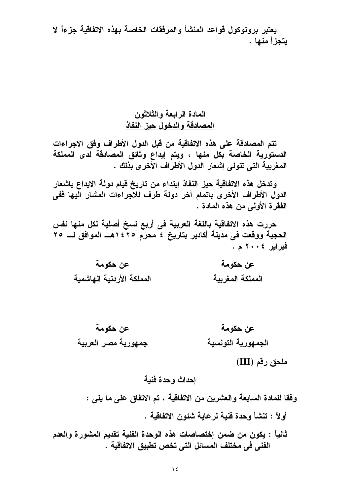يعتبر بروتوكول قواعد المنشأ والمرفقات الخاصة بهذه الاتفاقية جزءاً لا يتجزأ منها .

# المادة الرابعة والثلاثون المصادقة والدخول حبز النفاذ

تتم المصادقة على هذه الاتفاقية من قبل الدول الأطراف وفق الاجراءات الدستورية الخاصة بكل منها ، ويتم إيداع وثائق المصادقة لدى المملكة المغربية التي تتولى إشعار الدول الأطراف الآخرى بِّذلك .

وتدخل هذه الاتفاقية حيز النفاذ إبتداء من تاريخ قيام دولة الإيداع باشعار الدول الأطراف الأخرى باتمام آخر دولة طرف للآجراءات المشار اليها ففى الفقرة الأولى من هذه المادة .

حررت هذه الاتفاقية باللغة العربية في أربع نسخ أصلية لكل منها نفس الحجية ووقعت في مدينة أكادير بتاريخ ٤ محرم ١٤٢٥هـــ الموافق لـــ ٢٥ فبرابر ٢٠٠٤ م .

- عن حكومة عن حكومة المملكة الأردنية الهاشمية المملكة المغريبة
- عن حكومة عن حكومة جمهورية مصر العربية الجمهورية التونسية

#### ملحق رقم (III)

#### إحداث وحدة فنية

وفقا للمادة السابعة والعشرين من الاتفاقية ، تم الاتفاق على ما يلي :

أو لاً : تنشأ وحدة فنبة لر عابة شئون الاتفاقية .

ثانياً : يكون من ضمن إختصاصات هذه الوحدة الفنية تقديم المشورة والعدم الفني في مختلف المسائل التي تخص تطبيق الاتفاقية .